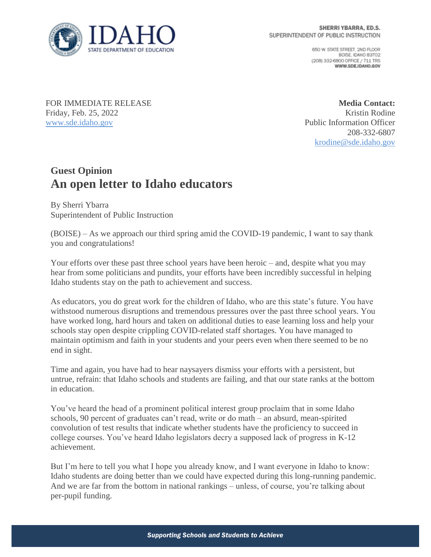

650 W. STATE STREET, 2ND FLOOR BOISE IDAHO 83702 (208) 332-6800 OFFICE / 711 TRS WWW.SDE.IDAHO.GOV

FOR IMMEDIATE RELEASE Friday, Feb. 25, 2022 [www.sde.idaho.gov](http://www.sde.idaho.gov/)

**Media Contact:** Kristin Rodine Public Information Officer 208-332-6807 [krodine@sde.idaho.gov](mailto:krodine@sde.idaho.gov)

## **Guest Opinion An open letter to Idaho educators**

By Sherri Ybarra Superintendent of Public Instruction

(BOISE) – As we approach our third spring amid the COVID-19 pandemic, I want to say thank you and congratulations!

Your efforts over these past three school years have been heroic – and, despite what you may hear from some politicians and pundits, your efforts have been incredibly successful in helping Idaho students stay on the path to achievement and success.

As educators, you do great work for the children of Idaho, who are this state's future. You have withstood numerous disruptions and tremendous pressures over the past three school years. You have worked long, hard hours and taken on additional duties to ease learning loss and help your schools stay open despite crippling COVID-related staff shortages. You have managed to maintain optimism and faith in your students and your peers even when there seemed to be no end in sight.

Time and again, you have had to hear naysayers dismiss your efforts with a persistent, but untrue, refrain: that Idaho schools and students are failing, and that our state ranks at the bottom in education.

You've heard the head of a prominent political interest group proclaim that in some Idaho schools, 90 percent of graduates can't read, write or do math – an absurd, mean-spirited convolution of test results that indicate whether students have the proficiency to succeed in college courses. You've heard Idaho legislators decry a supposed lack of progress in K-12 achievement.

But I'm here to tell you what I hope you already know, and I want everyone in Idaho to know: Idaho students are doing better than we could have expected during this long-running pandemic. And we are far from the bottom in national rankings – unless, of course, you're talking about per-pupil funding.